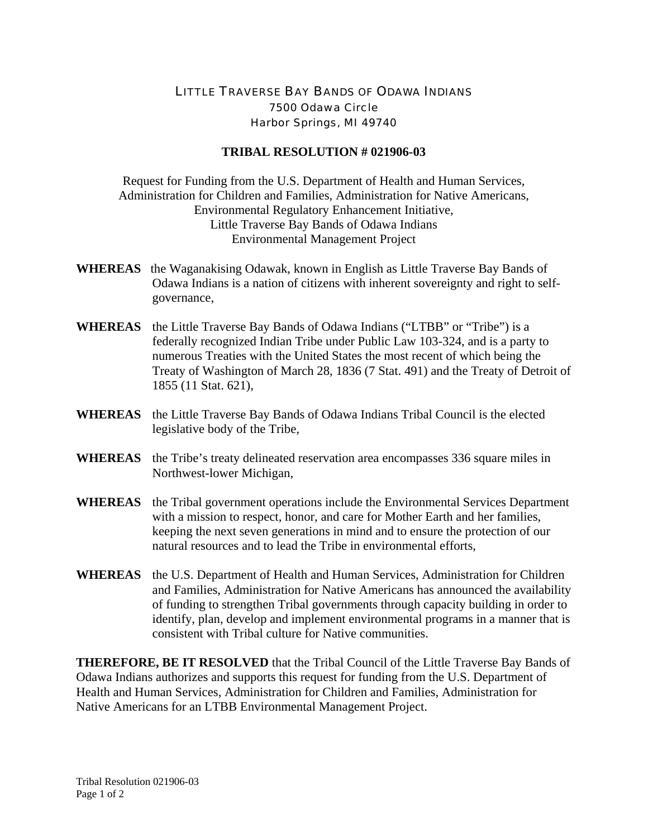## LITTLE TRAVERSE BAY BANDS OF ODAWA INDIANS 7500 Odawa Circle Harbor Springs, MI 49740

## **TRIBAL RESOLUTION # 021906-03**

Request for Funding from the U.S. Department of Health and Human Services, Administration for Children and Families, Administration for Native Americans, Environmental Regulatory Enhancement Initiative, Little Traverse Bay Bands of Odawa Indians Environmental Management Project

- **WHEREAS** the Waganakising Odawak, known in English as Little Traverse Bay Bands of Odawa Indians is a nation of citizens with inherent sovereignty and right to selfgovernance,
- **WHEREAS** the Little Traverse Bay Bands of Odawa Indians ("LTBB" or "Tribe") is a federally recognized Indian Tribe under Public Law 103-324, and is a party to numerous Treaties with the United States the most recent of which being the Treaty of Washington of March 28, 1836 (7 Stat. 491) and the Treaty of Detroit of 1855 (11 Stat. 621),
- **WHEREAS** the Little Traverse Bay Bands of Odawa Indians Tribal Council is the elected legislative body of the Tribe,
- **WHEREAS** the Tribe's treaty delineated reservation area encompasses 336 square miles in Northwest-lower Michigan,
- **WHEREAS** the Tribal government operations include the Environmental Services Department with a mission to respect, honor, and care for Mother Earth and her families, keeping the next seven generations in mind and to ensure the protection of our natural resources and to lead the Tribe in environmental efforts,
- **WHEREAS** the U.S. Department of Health and Human Services, Administration for Children and Families, Administration for Native Americans has announced the availability of funding to strengthen Tribal governments through capacity building in order to identify, plan, develop and implement environmental programs in a manner that is consistent with Tribal culture for Native communities.

**THEREFORE, BE IT RESOLVED** that the Tribal Council of the Little Traverse Bay Bands of Odawa Indians authorizes and supports this request for funding from the U.S. Department of Health and Human Services, Administration for Children and Families, Administration for Native Americans for an LTBB Environmental Management Project.